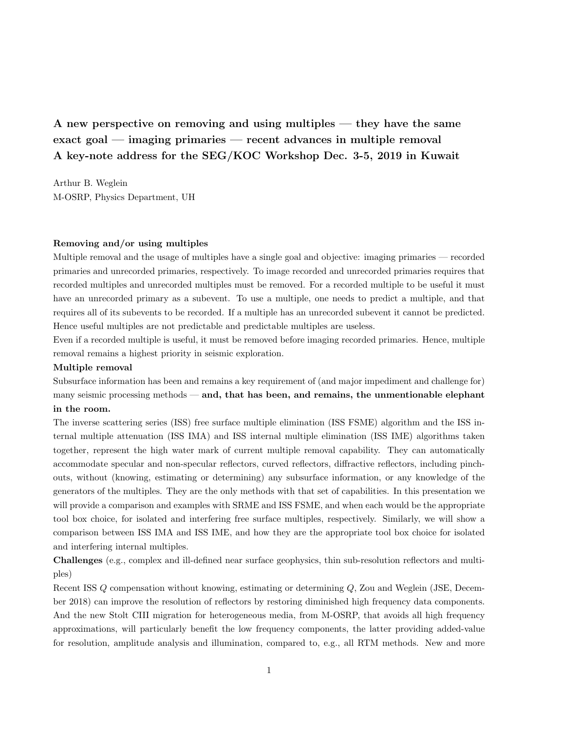A new perspective on removing and using multiples — they have the same exact goal — imaging primaries — recent advances in multiple removal A key-note address for the SEG/KOC Workshop Dec. 3-5, 2019 in Kuwait

Arthur B. Weglein M-OSRP, Physics Department, UH

## Removing and/or using multiples

Multiple removal and the usage of multiples have a single goal and objective: imaging primaries — recorded primaries and unrecorded primaries, respectively. To image recorded and unrecorded primaries requires that recorded multiples and unrecorded multiples must be removed. For a recorded multiple to be useful it must have an unrecorded primary as a subevent. To use a multiple, one needs to predict a multiple, and that requires all of its subevents to be recorded. If a multiple has an unrecorded subevent it cannot be predicted. Hence useful multiples are not predictable and predictable multiples are useless.

Even if a recorded multiple is useful, it must be removed before imaging recorded primaries. Hence, multiple removal remains a highest priority in seismic exploration.

## Multiple removal

Subsurface information has been and remains a key requirement of (and major impediment and challenge for) many seismic processing methods  $-$  and, that has been, and remains, the unmentionable elephant in the room.

The inverse scattering series (ISS) free surface multiple elimination (ISS FSME) algorithm and the ISS internal multiple attenuation (ISS IMA) and ISS internal multiple elimination (ISS IME) algorithms taken together, represent the high water mark of current multiple removal capability. They can automatically accommodate specular and non-specular reflectors, curved reflectors, diffractive reflectors, including pinchouts, without (knowing, estimating or determining) any subsurface information, or any knowledge of the generators of the multiples. They are the only methods with that set of capabilities. In this presentation we will provide a comparison and examples with SRME and ISS FSME, and when each would be the appropriate tool box choice, for isolated and interfering free surface multiples, respectively. Similarly, we will show a comparison between ISS IMA and ISS IME, and how they are the appropriate tool box choice for isolated and interfering internal multiples.

Challenges (e.g., complex and ill-defined near surface geophysics, thin sub-resolution reflectors and multiples)

Recent ISS Q compensation without knowing, estimating or determining Q, Zou and Weglein (JSE, December 2018) can improve the resolution of reflectors by restoring diminished high frequency data components. And the new Stolt CIII migration for heterogeneous media, from M-OSRP, that avoids all high frequency approximations, will particularly benefit the low frequency components, the latter providing added-value for resolution, amplitude analysis and illumination, compared to, e.g., all RTM methods. New and more